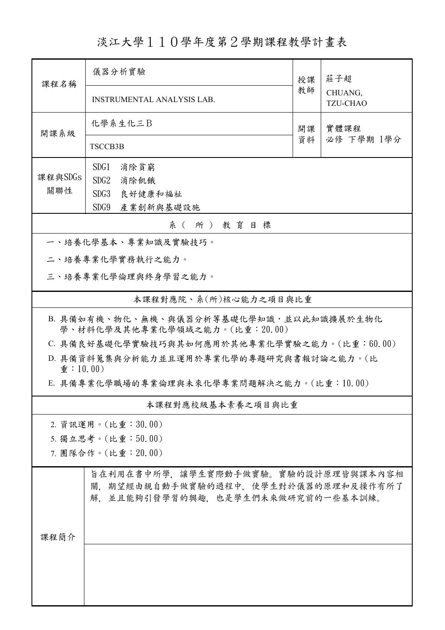淡江大學110學年度第2學期課程教學計畫表

| 課程名稱                                                                      | 儀器分析實驗<br>授課                                                                                                    |    | 莊子超                        |  |  |  |
|---------------------------------------------------------------------------|-----------------------------------------------------------------------------------------------------------------|----|----------------------------|--|--|--|
|                                                                           | <b>INSTRUMENTAL ANALYSIS LAB.</b>                                                                               | 教師 | CHUANG,<br><b>TZU-CHAO</b> |  |  |  |
| 開課系級                                                                      | 化學系生化三B                                                                                                         | 開課 | 實體課程                       |  |  |  |
|                                                                           | <b>TSCCB3B</b>                                                                                                  | 資料 | 必修 下學期 1學分                 |  |  |  |
|                                                                           | SDG1<br>消除貧窮                                                                                                    |    |                            |  |  |  |
| 課程與SDGs                                                                   | SDG2<br>消除飢餓                                                                                                    |    |                            |  |  |  |
| 關聯性                                                                       | SDG3<br>良好健康和福祉                                                                                                 |    |                            |  |  |  |
|                                                                           | SDG9<br>產業創新與基礎設施                                                                                               |    |                            |  |  |  |
|                                                                           | 系(所)教育目標                                                                                                        |    |                            |  |  |  |
|                                                                           | 一、培養化學基本、專業知識及實驗技巧。                                                                                             |    |                            |  |  |  |
| 二、培養專業化學實務執行之能力。                                                          |                                                                                                                 |    |                            |  |  |  |
|                                                                           | 三、培養專業化學倫理與終身學習之能力。                                                                                             |    |                            |  |  |  |
|                                                                           | 本課程對應院、系(所)核心能力之項目與比重                                                                                           |    |                            |  |  |  |
| B. 具備如有機、物化、無機、與儀器分析等基礎化學知識,並以此知識擴展於生物化<br>學、材料化學及其他專業化學領域之能力。(比重:20.00)  |                                                                                                                 |    |                            |  |  |  |
| C. 具備良好基礎化學實驗技巧與其如何應用於其他專業化學實驗之能力。(比重:60.00)                              |                                                                                                                 |    |                            |  |  |  |
| D. 具備資料蒐集與分析能力並且運用於專業化學的專題研究與書報討論之能力。(比<br>$\hat{\mathbf{\Phi}}$ : 10.00) |                                                                                                                 |    |                            |  |  |  |
| E. 具備專業化學職場的專業倫理與未來化學專業問題解決之能力。(比重:10.00)                                 |                                                                                                                 |    |                            |  |  |  |
| 本課程對應校級基本素養之項目與比重                                                         |                                                                                                                 |    |                            |  |  |  |
|                                                                           | 2. 資訊運用。(比重:30.00)                                                                                              |    |                            |  |  |  |
|                                                                           | 5. 獨立思考。(比重:50.00)                                                                                              |    |                            |  |  |  |
|                                                                           | 7. 團隊合作。(比重: 20.00)                                                                                             |    |                            |  |  |  |
|                                                                           | 旨在利用在書中所學,讓學生實際動手做實驗。實驗的設計原理皆與課本內容相<br>關,期望經由親自動手做實驗的過程中,使學生對於儀器的原理和及操作有所了<br>解,並且能夠引發學習的興趣,也是學生們未來做研究前的一些基本訓練。 |    |                            |  |  |  |
| 課程簡介                                                                      |                                                                                                                 |    |                            |  |  |  |
|                                                                           |                                                                                                                 |    |                            |  |  |  |
|                                                                           |                                                                                                                 |    |                            |  |  |  |
|                                                                           |                                                                                                                 |    |                            |  |  |  |
|                                                                           |                                                                                                                 |    |                            |  |  |  |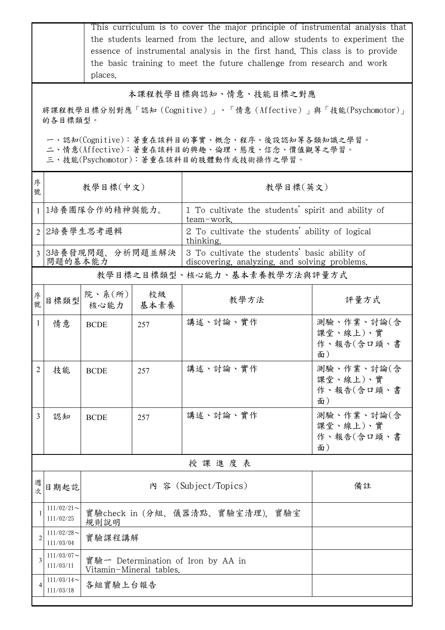|                                                                           |                            | This curriculum is to cover the major principle of instrumental analysis that<br>the students learned from the lecture, and allow students to experiment the<br>essence of instrumental analysis in the first hand. This class is to provide<br>the basic training to meet the future challenge from research and work<br>places. |                                |                                                                                                                                        |                                            |  |  |
|---------------------------------------------------------------------------|----------------------------|-----------------------------------------------------------------------------------------------------------------------------------------------------------------------------------------------------------------------------------------------------------------------------------------------------------------------------------|--------------------------------|----------------------------------------------------------------------------------------------------------------------------------------|--------------------------------------------|--|--|
| 本課程教學目標與認知、情意、技能目標之對應                                                     |                            |                                                                                                                                                                                                                                                                                                                                   |                                |                                                                                                                                        |                                            |  |  |
| 將課程教學目標分別對應「認知 (Cognitive)」、「情意 (Affective)」與「技能(Psychomotor)」<br>的各目標類型。 |                            |                                                                                                                                                                                                                                                                                                                                   |                                |                                                                                                                                        |                                            |  |  |
|                                                                           |                            |                                                                                                                                                                                                                                                                                                                                   |                                |                                                                                                                                        |                                            |  |  |
|                                                                           |                            |                                                                                                                                                                                                                                                                                                                                   |                                | 一、認知(Cognitive):著重在該科目的事實、概念、程序、後設認知等各類知識之學習。<br>二、情意(Affective):著重在該科目的興趣、倫理、態度、信念、價值觀等之學習。<br>三、技能(Psychomotor):著重在該科目的肢體動作或技術操作之學習。 |                                            |  |  |
|                                                                           |                            |                                                                                                                                                                                                                                                                                                                                   |                                |                                                                                                                                        |                                            |  |  |
| 序<br>號                                                                    |                            | 教學目標(中文)                                                                                                                                                                                                                                                                                                                          |                                | 教學目標(英文)                                                                                                                               |                                            |  |  |
| $\mathbf{1}$                                                              |                            | 1培養團隊合作的精神與能力。                                                                                                                                                                                                                                                                                                                    |                                | 1 To cultivate the students' spirit and ability of<br>team-work.                                                                       |                                            |  |  |
| $\mathcal{D}_{\mathcal{L}}$                                               |                            | 2培養學生思考邏輯                                                                                                                                                                                                                                                                                                                         |                                | 2 To cultivate the students' ability of logical<br>thinking.                                                                           |                                            |  |  |
|                                                                           | 問題的基本能力                    | 3 3培養發現問題、分析問題並解決                                                                                                                                                                                                                                                                                                                 |                                | 3 To cultivate the students' basic ability of<br>discovering, analyzing, and solving problems.                                         |                                            |  |  |
|                                                                           |                            |                                                                                                                                                                                                                                                                                                                                   |                                | 教學目標之目標類型、核心能力、基本素養教學方法與評量方式                                                                                                           |                                            |  |  |
| 序<br>號                                                                    | 目標類型                       | 院、系 $(\text{m})$<br>核心能力                                                                                                                                                                                                                                                                                                          | 校級<br>基本素養                     | 教學方法                                                                                                                                   | 評量方式                                       |  |  |
| 1                                                                         | 情意                         | <b>BCDE</b>                                                                                                                                                                                                                                                                                                                       | 257                            | 講述、討論、實作                                                                                                                               | 測驗、作業、討論(含<br>課堂、線上)、實<br>作、報告(含口頭、書<br>面) |  |  |
| $\overline{2}$                                                            | 技能                         | <b>BCDE</b>                                                                                                                                                                                                                                                                                                                       | 257                            | 講述、討論、實作                                                                                                                               | 測驗、作業、討論(含<br>課堂、線上)、實<br>作、報告(含口頭、書<br>面) |  |  |
| 3                                                                         | 認知                         | <b>BCDE</b>                                                                                                                                                                                                                                                                                                                       | 257                            | 講述、討論、實作                                                                                                                               | 測驗、作業、討論(含<br>課堂、線上)、實<br>作、報告(含口頭、書<br>面) |  |  |
|                                                                           |                            |                                                                                                                                                                                                                                                                                                                                   |                                | 授課進度表                                                                                                                                  |                                            |  |  |
| 週<br>次                                                                    | 日期起訖                       |                                                                                                                                                                                                                                                                                                                                   |                                | 內 容 (Subject/Topics)                                                                                                                   | 備註                                         |  |  |
|                                                                           | $111/02/21$ ~<br>111/02/25 | 規則說明                                                                                                                                                                                                                                                                                                                              | 實驗check in (分組、儀器清點、實驗室清理),實驗室 |                                                                                                                                        |                                            |  |  |
| $\overline{2}$                                                            | $111/02/28$ ~<br>111/03/04 | 實驗課程講解                                                                                                                                                                                                                                                                                                                            |                                |                                                                                                                                        |                                            |  |  |
| 3                                                                         | $111/03/07$ ~<br>111/03/11 | 實驗一 Determination of Iron by AA in<br>Vitamin-Mineral tables.                                                                                                                                                                                                                                                                     |                                |                                                                                                                                        |                                            |  |  |
| 4                                                                         | $111/03/14$ ~<br>111/03/18 | 各組實驗上台報告                                                                                                                                                                                                                                                                                                                          |                                |                                                                                                                                        |                                            |  |  |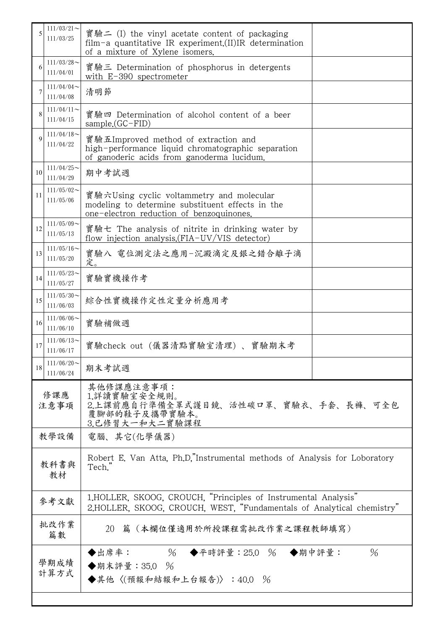|                                                                                                            | $111/03/21$ ~<br>111/03/25 | 實驗二 (I) the vinyl acetate content of packaging<br>film-a quantitative IR experiment.(II)IR determination<br>of a mixture of Xylene isomers. |  |  |  |
|------------------------------------------------------------------------------------------------------------|----------------------------|---------------------------------------------------------------------------------------------------------------------------------------------|--|--|--|
| 6                                                                                                          | $111/03/28$ ~<br>111/04/01 | 實驗三 Determination of phosphorus in detergents<br>with $E-390$ spectrometer                                                                  |  |  |  |
|                                                                                                            | 111/04/04<br>111/04/08     | 清明節                                                                                                                                         |  |  |  |
|                                                                                                            | $111/04/11$ ~<br>111/04/15 | 實驗四 Determination of alcohol content of a beer<br>$sample(GC-FID)$                                                                          |  |  |  |
| $\mathbf Q$                                                                                                | $111/04/18$ ~<br>111/04/22 | 實驗五Improved method of extraction and<br>high-performance liquid chromatographic separation<br>of ganoderic acids from ganoderma lucidum.    |  |  |  |
| 10                                                                                                         | $111/04/25$ ~<br>111/04/29 | 期中考試週                                                                                                                                       |  |  |  |
| 11                                                                                                         | $111/05/02$ ~<br>111/05/06 | 實驗六Using cyclic voltammetry and molecular<br>modeling to determine substituent effects in the<br>one-electron reduction of benzoquinones.   |  |  |  |
| 12                                                                                                         | $111/05/09$ ~<br>111/05/13 | 實驗七 The analysis of nitrite in drinking water by<br>flow injection analysis. (FIA-UV/VIS detector)                                          |  |  |  |
| 13                                                                                                         | $111/05/16$ ~<br>111/05/20 | 實驗八 電位測定法之應用-沉澱滴定及銀之錯合離子滴<br>定。                                                                                                             |  |  |  |
| 14                                                                                                         | $111/05/23$ ~<br>111/05/27 | 實驗實機操作考                                                                                                                                     |  |  |  |
| 15                                                                                                         | $111/05/30$ ~<br>111/06/03 | 綜合性實機操作定性定量分析應用考                                                                                                                            |  |  |  |
| 16                                                                                                         | $111/06/06$ ~<br>111/06/10 | 實驗補做週                                                                                                                                       |  |  |  |
| 17                                                                                                         | $111/06/13$ ~<br>111/06/17 | 實驗check out (儀器清點實驗室清理) 、實驗期末考                                                                                                              |  |  |  |
| 18                                                                                                         | $111/06/20$ ~<br>111/06/24 | 期末考試週                                                                                                                                       |  |  |  |
| 修課應<br>注意事項                                                                                                |                            | 其他修課應注意事項:<br>1.詳讀實驗室安全規則。<br>2.上課前應自行準備全罩式護目鏡、活性碳口罩、實驗衣、手套、長褲、可全包<br>覆腳部的鞋子及攜帶實驗本。<br>3.已修習大一和大二實驗課程                                       |  |  |  |
| 教學設備                                                                                                       |                            | 電腦、其它(化學儀器)                                                                                                                                 |  |  |  |
| 教科書與<br>教材                                                                                                 |                            | Robert E. Van Atta, Ph.D."Instrumental methods of Analysis for Loboratory<br>Tech."                                                         |  |  |  |
|                                                                                                            | 參考文獻                       | 1.HOLLER, SKOOG, CROUCH, "Principles of Instrumental Analysis"<br>2.HOLLER, SKOOG, CROUCH, WEST, "Fundamentals of Analytical chemistry"     |  |  |  |
|                                                                                                            | 批改作業<br>篇數                 | 篇(本欄位僅適用於所授課程需批改作業之課程教師填寫)<br>20                                                                                                            |  |  |  |
| $\%$<br>◆出席率:<br>◆平時評量: 25.0 % ◆期中評量:<br>$\%$<br>學期成績<br>◆期末評量: 35.0 %<br>計算方式<br>◆其他〈(預報和結報和上台報告)〉:40.0 % |                            |                                                                                                                                             |  |  |  |